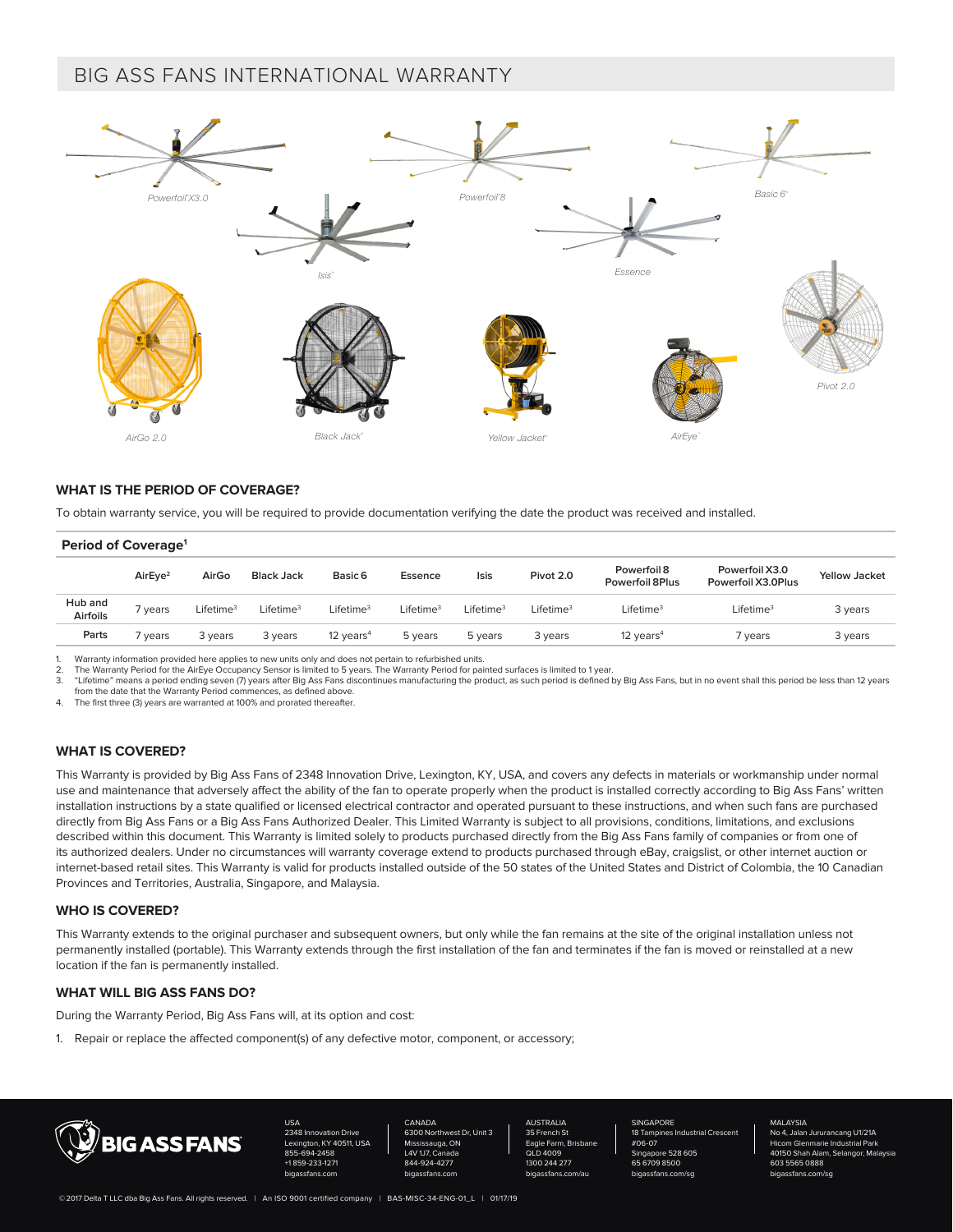# BIG ASS FANS INTERNATIONAL WARRANTY



## **WHAT IS THE PERIOD OF COVERAGE?**

To obtain warranty service, you will be required to provide documentation verifying the date the product was received and installed.

| Period of Coverage <sup>1</sup> |                     |                     |                       |                       |                       |                       |                       |                                |                                      |                      |
|---------------------------------|---------------------|---------------------|-----------------------|-----------------------|-----------------------|-----------------------|-----------------------|--------------------------------|--------------------------------------|----------------------|
|                                 | AirEve <sup>2</sup> | AirGo               | <b>Black Jack</b>     | Basic 6               | Essence               | Isis                  | Pivot 2.0             | Powerfoil 8<br>Powerfoil 8Plus | Powerfoil X3.0<br>Powerfoil X3.0Plus | <b>Yellow Jacket</b> |
| Hub and<br><b>Airfoils</b>      | 7 years             | Lifetime $^{\rm 3}$ | Lifetime <sup>3</sup> | Lifetime <sup>3</sup> | Lifetime <sup>3</sup> | Lifetime <sup>3</sup> | Lifetime <sup>3</sup> | Lifetime <sup>3</sup>          | Lifetime <sup>3</sup>                | 3 years              |
| Parts                           | ' years             | 3 years             | 3 years               | 12 years $4$          | 5 years               | 5 years               | 3 years               | 12 years $4$                   | 7 years                              | 3 years              |

Warranty information provided here applies to new units only and does not pertain to refurbished units.

2. The Warranty Period for the AirEye Occupancy Sensor is limited to 5 years. The Warranty Period for painted surfaces is limited to 1 year.<br>2. "Lifetime" means a period ending seven (7) years after Big Ass Fans discontinu

3. "Lifetime" means a period ending seven (7) years after Big Ass Fans discontinues manufacturing the product, as such period is defined by Big Ass Fans, but in no event shall this period be less than 12 years from the date that the Warranty Period commences, as defined above.

4. The first three (3) years are warranted at 100% and prorated thereafter.

# **WHAT IS COVERED?**

This Warranty is provided by Big Ass Fans of 2348 Innovation Drive, Lexington, KY, USA, and covers any defects in materials or workmanship under normal use and maintenance that adversely affect the ability of the fan to operate properly when the product is installed correctly according to Big Ass Fans' written installation instructions by a state qualified or licensed electrical contractor and operated pursuant to these instructions, and when such fans are purchased directly from Big Ass Fans or a Big Ass Fans Authorized Dealer. This Limited Warranty is subject to all provisions, conditions, limitations, and exclusions described within this document. This Warranty is limited solely to products purchased directly from the Big Ass Fans family of companies or from one of its authorized dealers. Under no circumstances will warranty coverage extend to products purchased through eBay, craigslist, or other internet auction or internet-based retail sites. This Warranty is valid for products installed outside of the 50 states of the United States and District of Colombia, the 10 Canadian Provinces and Territories, Australia, Singapore, and Malaysia.

#### **WHO IS COVERED?**

This Warranty extends to the original purchaser and subsequent owners, but only while the fan remains at the site of the original installation unless not permanently installed (portable). This Warranty extends through the first installation of the fan and terminates if the fan is moved or reinstalled at a new location if the fan is permanently installed.

# **WHAT WILL BIG ASS FANS DO?**

During the Warranty Period, Big Ass Fans will, at its option and cost:

1. Repair or replace the affected component(s) of any defective motor, component, or accessory;



USA 2348 Innovation Drive LKY 40511, USA 855-694-2458 +1 859-233-1271 bigassfans.com

CANADA 6300 Northwest Dr, Unit 3 Mississauga, ON L4V 1J7, Canada 844-924-4277 bigassfans.com

**AUSTRALIA**  $35$  Fr Eagle Farm, Br QLD 4009 1300 244 277 bigassfans.com/au **SINGAPORE** 18 Tampines Industrial Crescent #06-07 Singapore 528 605 65 6709 8500 bigassfans.com/sg

MALAYSIA<br>No 4. Jalan Jui rancang U1/21A com Glenmarie Industrial Parl<br>150 Shah Δlam, Selangor, Ma .<br>101. Malay 603 5565 0888 bigassfans.com/sg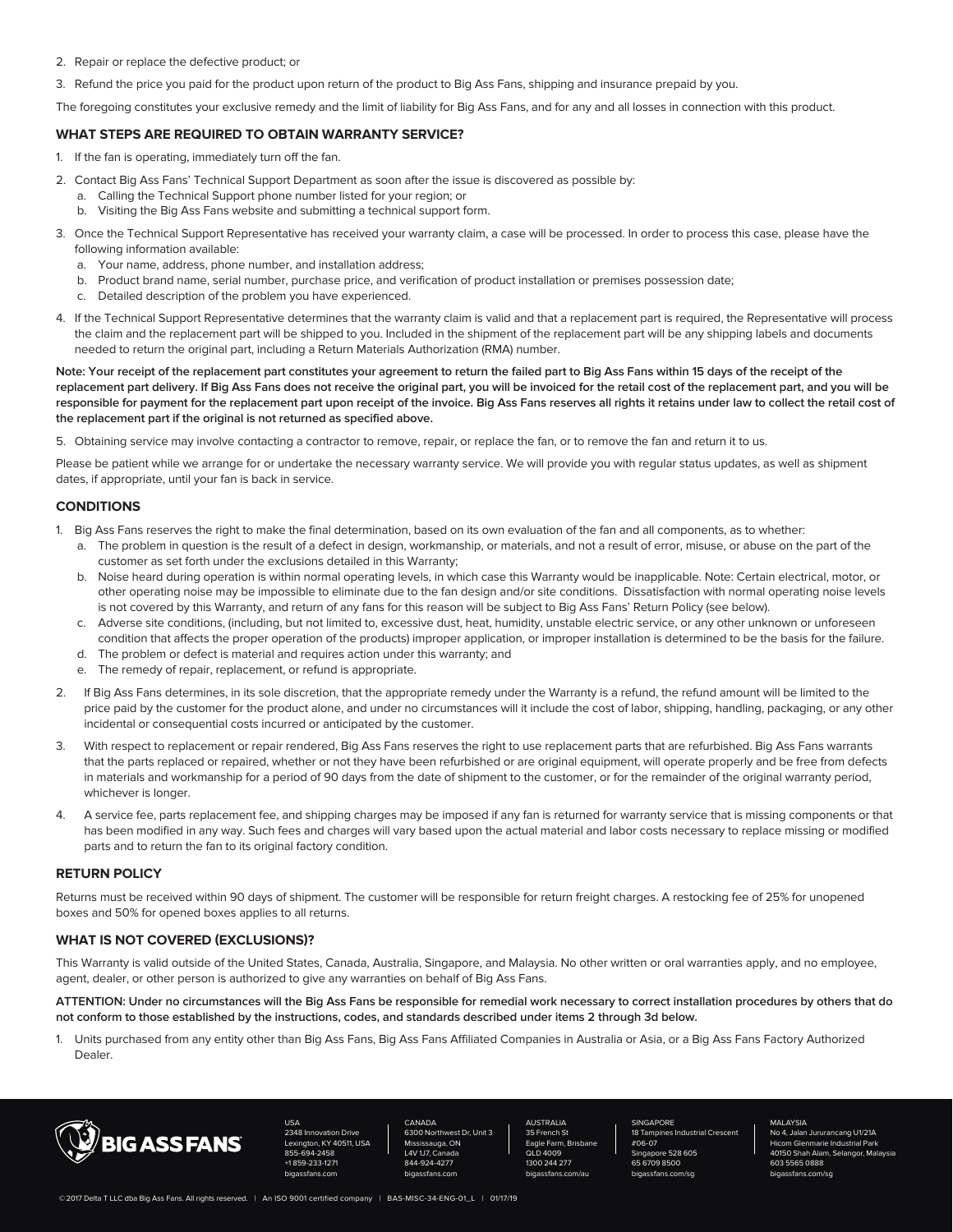- 2. Repair or replace the defective product; or
- 3. Refund the price you paid for the product upon return of the product to Big Ass Fans, shipping and insurance prepaid by you.

The foregoing constitutes your exclusive remedy and the limit of liability for Big Ass Fans, and for any and all losses in connection with this product.

# **WHAT STEPS ARE REQUIRED TO OBTAIN WARRANTY SERVICE?**

- 1. If the fan is operating, immediately turn off the fan.
- 2. Contact Big Ass Fans' Technical Support Department as soon after the issue is discovered as possible by:
	- a. Calling the Technical Support phone number listed for your region; or
	- b. Visiting the Big Ass Fans website and submitting a technical support form.
- 3. Once the Technical Support Representative has received your warranty claim, a case will be processed. In order to process this case, please have the following information available:
	- a. Your name, address, phone number, and installation address;
	- b. Product brand name, serial number, purchase price, and verification of product installation or premises possession date;
	- c. Detailed description of the problem you have experienced.
- 4. If the Technical Support Representative determines that the warranty claim is valid and that a replacement part is required, the Representative will process the claim and the replacement part will be shipped to you. Included in the shipment of the replacement part will be any shipping labels and documents needed to return the original part, including a Return Materials Authorization (RMA) number.

**Note: Your receipt of the replacement part constitutes your agreement to return the failed part to Big Ass Fans within 15 days of the receipt of the replacement part delivery. If Big Ass Fans does not receive the original part, you will be invoiced for the retail cost of the replacement part, and you will be responsible for payment for the replacement part upon receipt of the invoice. Big Ass Fans reserves all rights it retains under law to collect the retail cost of the replacement part if the original is not returned as specified above.** 

5. Obtaining service may involve contacting a contractor to remove, repair, or replace the fan, or to remove the fan and return it to us.

Please be patient while we arrange for or undertake the necessary warranty service. We will provide you with regular status updates, as well as shipment dates, if appropriate, until your fan is back in service.

## **CONDITIONS**

- 1. Big Ass Fans reserves the right to make the final determination, based on its own evaluation of the fan and all components, as to whether:
	- a. The problem in question is the result of a defect in design, workmanship, or materials, and not a result of error, misuse, or abuse on the part of the customer as set forth under the exclusions detailed in this Warranty;
	- b. Noise heard during operation is within normal operating levels, in which case this Warranty would be inapplicable. Note: Certain electrical, motor, or other operating noise may be impossible to eliminate due to the fan design and/or site conditions. Dissatisfaction with normal operating noise levels is not covered by this Warranty, and return of any fans for this reason will be subject to Big Ass Fans' Return Policy (see below).
	- c. Adverse site conditions, (including, but not limited to, excessive dust, heat, humidity, unstable electric service, or any other unknown or unforeseen condition that affects the proper operation of the products) improper application, or improper installation is determined to be the basis for the failure.
	- d. The problem or defect is material and requires action under this warranty; and
	- e. The remedy of repair, replacement, or refund is appropriate.
- 2. If Big Ass Fans determines, in its sole discretion, that the appropriate remedy under the Warranty is a refund, the refund amount will be limited to the price paid by the customer for the product alone, and under no circumstances will it include the cost of labor, shipping, handling, packaging, or any other incidental or consequential costs incurred or anticipated by the customer.
- 3. With respect to replacement or repair rendered, Big Ass Fans reserves the right to use replacement parts that are refurbished. Big Ass Fans warrants that the parts replaced or repaired, whether or not they have been refurbished or are original equipment, will operate properly and be free from defects in materials and workmanship for a period of 90 days from the date of shipment to the customer, or for the remainder of the original warranty period, whichever is longer.
- 4. A service fee, parts replacement fee, and shipping charges may be imposed if any fan is returned for warranty service that is missing components or that has been modified in any way. Such fees and charges will vary based upon the actual material and labor costs necessary to replace missing or modified parts and to return the fan to its original factory condition.

#### **RETURN POLICY**

Returns must be received within 90 days of shipment. The customer will be responsible for return freight charges. A restocking fee of 25% for unopened boxes and 50% for opened boxes applies to all returns.

# **WHAT IS NOT COVERED (EXCLUSIONS)?**

This Warranty is valid outside of the United States, Canada, Australia, Singapore, and Malaysia. No other written or oral warranties apply, and no employee, agent, dealer, or other person is authorized to give any warranties on behalf of Big Ass Fans.

**ATTENTION: Under no circumstances will the Big Ass Fans be responsible for remedial work necessary to correct installation procedures by others that do not conform to those established by the instructions, codes, and standards described under items 2 through 3d below.**

1. Units purchased from any entity other than Big Ass Fans, Big Ass Fans Affiliated Companies in Australia or Asia, or a Big Ass Fans Factory Authorized Dealer.



USA 2348 Innovation Drive n, KY 40511, USA 855-694-2458 +1 859-233-1271 bigassfans.com

CANADA 6300 Northwest Dr, Unit 3 Mississauga, ON L4V 1J7, Canada 844-924-4277 bigassfans.com

AUSTRALIA<br>35 French S nch St Eagle Farm, Brisba  $QI$ D 4009 1300 244 277 bigassfans.com/au SINGAPORE 18 Tampines Industrial Crescent #06-07 Singapore 528 605 65 6709 8500 bigassfans.com/sg

MALAYSIA<br>No 4. Jalan Jui urancang U1/21A Hicom Glenmarie Industrial Park 40150 Shah Alam, Selangor, Malaysia 603 5565 0888 bigassfans.com/sg